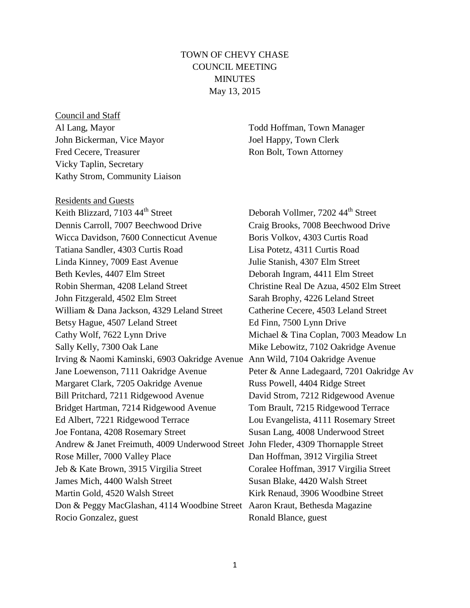# TOWN OF CHEVY CHASE COUNCIL MEETING **MINUTES** May 13, 2015

Council and Staff Al Lang, Mayor Todd Hoffman, Town Manager John Bickerman, Vice Mayor Joel Happy, Town Clerk Fred Cecere, Treasurer Ron Bolt, Town Attorney Vicky Taplin, Secretary Kathy Strom, Community Liaison

Residents and Guests Keith Blizzard, 7103 44<sup>th</sup> Street Deborah Vollmer, 7202 44<sup>th</sup> Street Dennis Carroll, 7007 Beechwood Drive Craig Brooks, 7008 Beechwood Drive Wicca Davidson, 7600 Connecticut Avenue Boris Volkov, 4303 Curtis Road Tatiana Sandler, 4303 Curtis Road Lisa Potetz, 4311 Curtis Road Linda Kinney, 7009 East Avenue Julie Stanish, 4307 Elm Street Beth Kevles, 4407 Elm Street Deborah Ingram, 4411 Elm Street Robin Sherman, 4208 Leland Street Christine Real De Azua, 4502 Elm Street John Fitzgerald, 4502 Elm Street Sarah Brophy, 4226 Leland Street William & Dana Jackson, 4329 Leland Street Catherine Cecere, 4503 Leland Street Betsy Hague, 4507 Leland Street Ed Finn, 7500 Lynn Drive Cathy Wolf, 7622 Lynn Drive Michael & Tina Coplan, 7003 Meadow Ln Sally Kelly, 7300 Oak Lane Mike Lebowitz, 7102 Oakridge Avenue Irving & Naomi Kaminski, 6903 Oakridge Avenue Ann Wild, 7104 Oakridge Avenue Jane Loewenson, 7111 Oakridge Avenue Peter & Anne Ladegaard, 7201 Oakridge Av Margaret Clark, 7205 Oakridge Avenue Russ Powell, 4404 Ridge Street Bill Pritchard, 7211 Ridgewood Avenue David Strom, 7212 Ridgewood Avenue Bridget Hartman, 7214 Ridgewood Avenue Tom Brault, 7215 Ridgewood Terrace Ed Albert, 7221 Ridgewood Terrace Lou Evangelista, 4111 Rosemary Street Joe Fontana, 4208 Rosemary Street Susan Lang, 4008 Underwood Street Andrew & Janet Freimuth, 4009 Underwood Street John Fleder, 4309 Thornapple Street Rose Miller, 7000 Valley Place Dan Hoffman, 3912 Virgilia Street Jeb & Kate Brown, 3915 Virgilia Street Coralee Hoffman, 3917 Virgilia Street James Mich, 4400 Walsh Street Susan Blake, 4420 Walsh Street Martin Gold, 4520 Walsh Street Kirk Renaud, 3906 Woodbine Street Don & Peggy MacGlashan, 4114 Woodbine Street Aaron Kraut, Bethesda Magazine Rocio Gonzalez, guest Ronald Blance, guest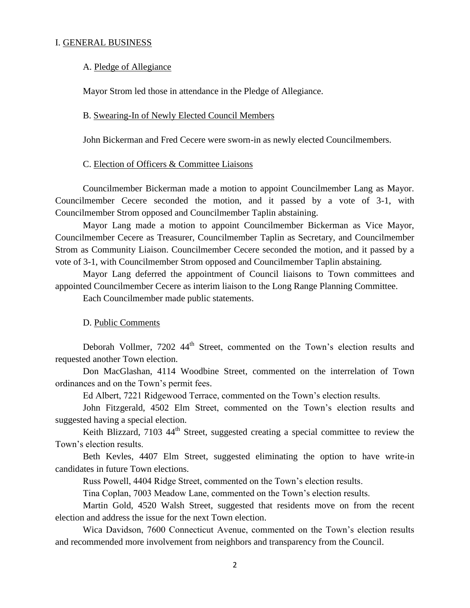### I. GENERAL BUSINESS

#### A. Pledge of Allegiance

Mayor Strom led those in attendance in the Pledge of Allegiance.

#### B. Swearing-In of Newly Elected Council Members

John Bickerman and Fred Cecere were sworn-in as newly elected Councilmembers.

#### C. Election of Officers & Committee Liaisons

Councilmember Bickerman made a motion to appoint Councilmember Lang as Mayor. Councilmember Cecere seconded the motion, and it passed by a vote of 3-1, with Councilmember Strom opposed and Councilmember Taplin abstaining.

Mayor Lang made a motion to appoint Councilmember Bickerman as Vice Mayor, Councilmember Cecere as Treasurer, Councilmember Taplin as Secretary, and Councilmember Strom as Community Liaison. Councilmember Cecere seconded the motion, and it passed by a vote of 3-1, with Councilmember Strom opposed and Councilmember Taplin abstaining.

Mayor Lang deferred the appointment of Council liaisons to Town committees and appointed Councilmember Cecere as interim liaison to the Long Range Planning Committee.

Each Councilmember made public statements.

# D. Public Comments

Deborah Vollmer, 7202 44<sup>th</sup> Street, commented on the Town's election results and requested another Town election.

Don MacGlashan, 4114 Woodbine Street, commented on the interrelation of Town ordinances and on the Town's permit fees.

Ed Albert, 7221 Ridgewood Terrace, commented on the Town's election results.

John Fitzgerald, 4502 Elm Street, commented on the Town's election results and suggested having a special election.

Keith Blizzard, 7103 44<sup>th</sup> Street, suggested creating a special committee to review the Town's election results.

Beth Kevles, 4407 Elm Street, suggested eliminating the option to have write-in candidates in future Town elections.

Russ Powell, 4404 Ridge Street, commented on the Town's election results.

Tina Coplan, 7003 Meadow Lane, commented on the Town's election results.

Martin Gold, 4520 Walsh Street, suggested that residents move on from the recent election and address the issue for the next Town election.

Wica Davidson, 7600 Connecticut Avenue, commented on the Town's election results and recommended more involvement from neighbors and transparency from the Council.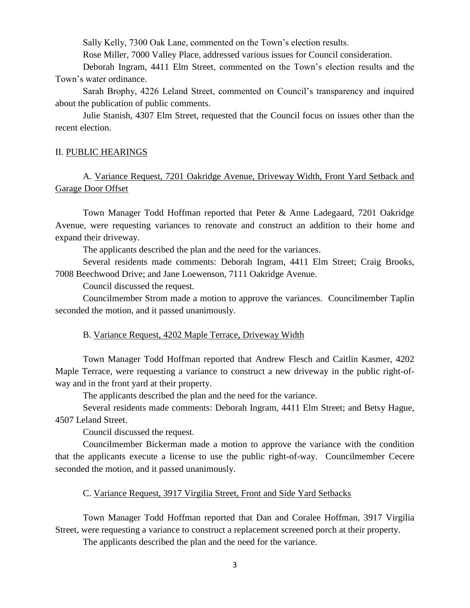Sally Kelly, 7300 Oak Lane, commented on the Town's election results.

Rose Miller, 7000 Valley Place, addressed various issues for Council consideration.

Deborah Ingram, 4411 Elm Street, commented on the Town's election results and the Town's water ordinance.

Sarah Brophy, 4226 Leland Street, commented on Council's transparency and inquired about the publication of public comments.

Julie Stanish, 4307 Elm Street, requested that the Council focus on issues other than the recent election.

#### II. PUBLIC HEARINGS

# A. Variance Request, 7201 Oakridge Avenue, Driveway Width, Front Yard Setback and Garage Door Offset

Town Manager Todd Hoffman reported that Peter & Anne Ladegaard, 7201 Oakridge Avenue, were requesting variances to renovate and construct an addition to their home and expand their driveway.

The applicants described the plan and the need for the variances.

Several residents made comments: Deborah Ingram, 4411 Elm Street; Craig Brooks, 7008 Beechwood Drive; and Jane Loewenson, 7111 Oakridge Avenue.

Council discussed the request.

Councilmember Strom made a motion to approve the variances. Councilmember Taplin seconded the motion, and it passed unanimously.

#### B. Variance Request, 4202 Maple Terrace, Driveway Width

Town Manager Todd Hoffman reported that Andrew Flesch and Caitlin Kasmer, 4202 Maple Terrace, were requesting a variance to construct a new driveway in the public right-ofway and in the front yard at their property.

The applicants described the plan and the need for the variance.

Several residents made comments: Deborah Ingram, 4411 Elm Street; and Betsy Hague, 4507 Leland Street.

Council discussed the request.

Councilmember Bickerman made a motion to approve the variance with the condition that the applicants execute a license to use the public right-of-way. Councilmember Cecere seconded the motion, and it passed unanimously.

### C. Variance Request, 3917 Virgilia Street, Front and Side Yard Setbacks

Town Manager Todd Hoffman reported that Dan and Coralee Hoffman, 3917 Virgilia Street, were requesting a variance to construct a replacement screened porch at their property.

The applicants described the plan and the need for the variance.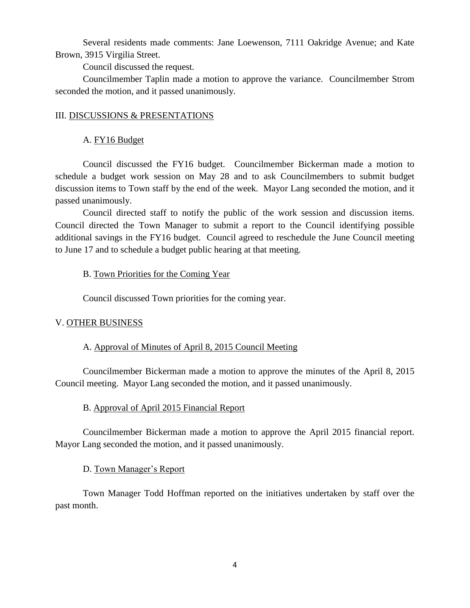Several residents made comments: Jane Loewenson, 7111 Oakridge Avenue; and Kate Brown, 3915 Virgilia Street.

Council discussed the request.

Councilmember Taplin made a motion to approve the variance. Councilmember Strom seconded the motion, and it passed unanimously.

### III. DISCUSSIONS & PRESENTATIONS

### A. FY16 Budget

Council discussed the FY16 budget. Councilmember Bickerman made a motion to schedule a budget work session on May 28 and to ask Councilmembers to submit budget discussion items to Town staff by the end of the week. Mayor Lang seconded the motion, and it passed unanimously.

Council directed staff to notify the public of the work session and discussion items. Council directed the Town Manager to submit a report to the Council identifying possible additional savings in the FY16 budget. Council agreed to reschedule the June Council meeting to June 17 and to schedule a budget public hearing at that meeting.

### B. Town Priorities for the Coming Year

Council discussed Town priorities for the coming year.

### V. OTHER BUSINESS

### A. Approval of Minutes of April 8, 2015 Council Meeting

Councilmember Bickerman made a motion to approve the minutes of the April 8, 2015 Council meeting. Mayor Lang seconded the motion, and it passed unanimously.

#### B. Approval of April 2015 Financial Report

Councilmember Bickerman made a motion to approve the April 2015 financial report. Mayor Lang seconded the motion, and it passed unanimously.

### D. Town Manager's Report

Town Manager Todd Hoffman reported on the initiatives undertaken by staff over the past month.